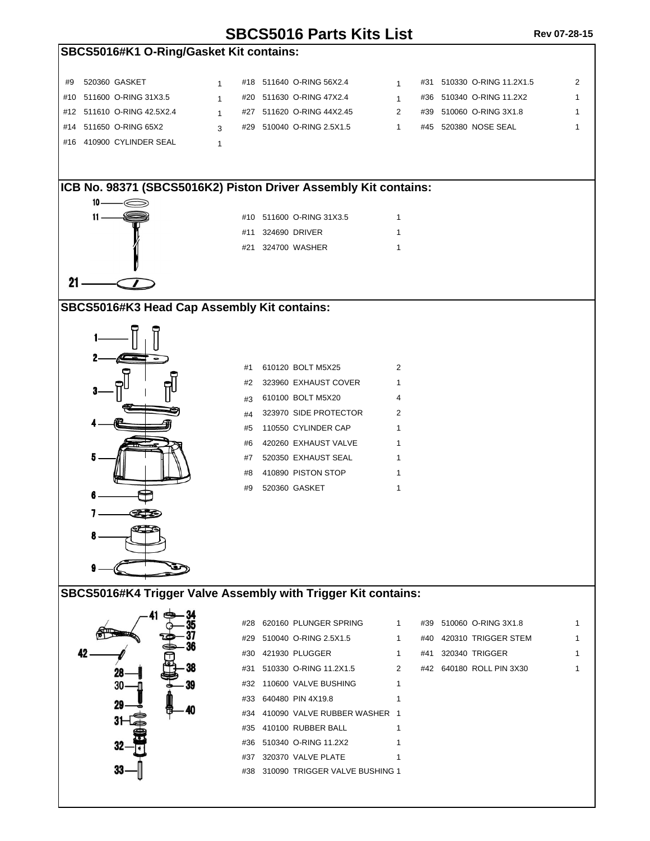## **SBCS5016 Parts Kits List Rev 07-28-15**

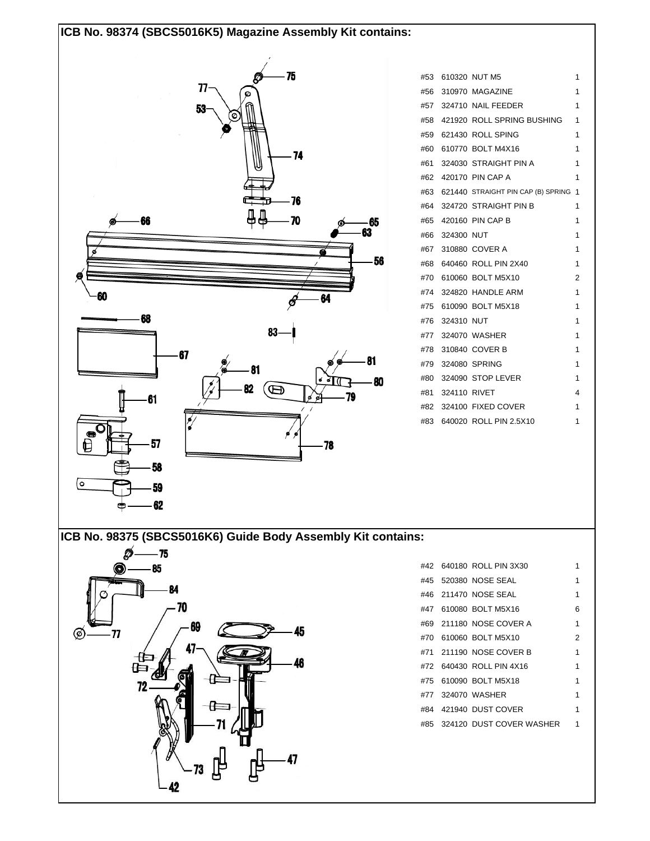## **ICB No. 98374 (SBCS5016K5) Magazine Assembly Kit contains:**



|                  | #53 610320 NUT M5                        | 1 |
|------------------|------------------------------------------|---|
|                  | #56 310970 MAGAZINE                      | 1 |
|                  | #57 324710 NAIL FEEDER                   | 1 |
|                  | #58 421920 ROLL SPRING BUSHING           | 1 |
|                  | #59 621430 ROLL SPING                    | 1 |
|                  | #60 610770 BOLT M4X16                    | 1 |
|                  | #61 324030 STRAIGHT PIN A                | 1 |
|                  | #62 420170 PIN CAP A                     | 1 |
|                  | #63 621440 STRAIGHT PIN CAP (B) SPRING 1 |   |
|                  | #64 324720 STRAIGHT PIN B                | 1 |
|                  | #65 420160 PIN CAP B                     | 1 |
| #66 324300 NUT   |                                          | 1 |
|                  | #67 310880 COVER A                       | 1 |
|                  | #68 640460 ROLL PIN 2X40                 | 1 |
|                  | #70 610060 BOLT M5X10                    | 2 |
|                  | #74 324820 HANDLE ARM                    | 1 |
|                  | #75 610090 BOLT M5X18                    | 1 |
| #76 324310 NUT   |                                          | 1 |
|                  | #77 324070 WASHER                        | 1 |
|                  | #78 310840 COVER B                       | 1 |
|                  | #79 324080 SPRING                        | 1 |
|                  | #80 324090 STOP LEVER                    | 1 |
| #81 324110 RIVET |                                          | 4 |
|                  | #82 324100 FIXED COVER                   | 1 |
|                  | #83 640020 ROLL PIN 2.5X10               | 1 |

**ICB No. 98375 (SBCS5016K6) Guide Body Assembly Kit contains:**



|  | #42 640180 ROLL PIN 3X30     |   |
|--|------------------------------|---|
|  | #45 520380 NOSE SEAL         |   |
|  | #46 211470 NOSE SEAL         | 1 |
|  | #47 610080 BOLT M5X16        | 6 |
|  | #69 211180 NOSE COVER A      | 1 |
|  | #70 610060 BOLTM5X10         | 2 |
|  |                              | 1 |
|  | #72 640430 ROLL PIN 4X16     | 1 |
|  | #75 610090 BOITM5X18         | 1 |
|  | #77 324070 WASHER            | 1 |
|  | #84 421940 DUST COVER        | 1 |
|  | #85 324120 DUST COVER WASHER | 1 |
|  |                              |   |